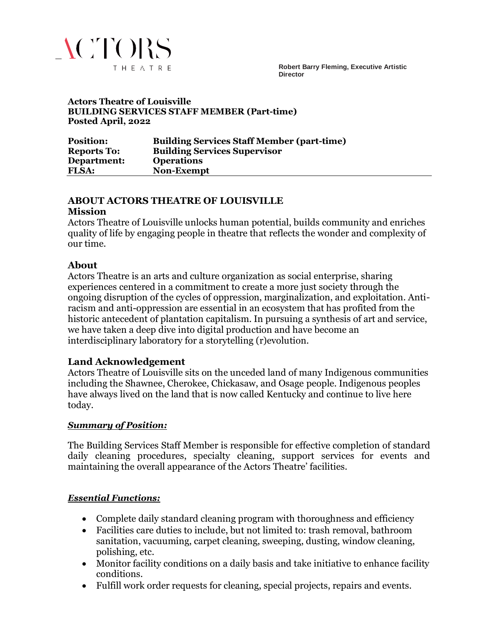

**Robert Barry Fleming, Executive Artistic Director**

#### **Actors Theatre of Louisville BUILDING SERVICES STAFF MEMBER (Part-time) Posted April, 2022**

| <b>Position:</b>   | <b>Building Services Staff Member (part-time)</b> |
|--------------------|---------------------------------------------------|
| <b>Reports To:</b> | <b>Building Services Supervisor</b>               |
| Department:        | <b>Operations</b>                                 |
| <b>FLSA:</b>       | <b>Non-Exempt</b>                                 |

#### **ABOUT ACTORS THEATRE OF LOUISVILLE**

#### **Mission**

Actors Theatre of Louisville unlocks human potential, builds community and enriches quality of life by engaging people in theatre that reflects the wonder and complexity of our time.

#### **About**

Actors Theatre is an arts and culture organization as social enterprise, sharing experiences centered in a commitment to create a more just society through the ongoing disruption of the cycles of oppression, marginalization, and exploitation. Antiracism and anti-oppression are essential in an ecosystem that has profited from the historic antecedent of plantation capitalism. In pursuing a synthesis of art and service, we have taken a deep dive into digital production and have become an interdisciplinary laboratory for a storytelling (r)evolution.

## **Land Acknowledgement**

Actors Theatre of Louisville sits on the unceded land of many Indigenous communities including the Shawnee, Cherokee, Chickasaw, and Osage people. Indigenous peoples have always lived on the land that is now called Kentucky and continue to live here today.

#### *Summary of Position:*

The Building Services Staff Member is responsible for effective completion of standard daily cleaning procedures, specialty cleaning, support services for events and maintaining the overall appearance of the Actors Theatre' facilities.

## *Essential Functions:*

- Complete daily standard cleaning program with thoroughness and efficiency
- Facilities care duties to include, but not limited to: trash removal, bathroom sanitation, vacuuming, carpet cleaning, sweeping, dusting, window cleaning, polishing, etc.
- Monitor facility conditions on a daily basis and take initiative to enhance facility conditions.
- Fulfill work order requests for cleaning, special projects, repairs and events.